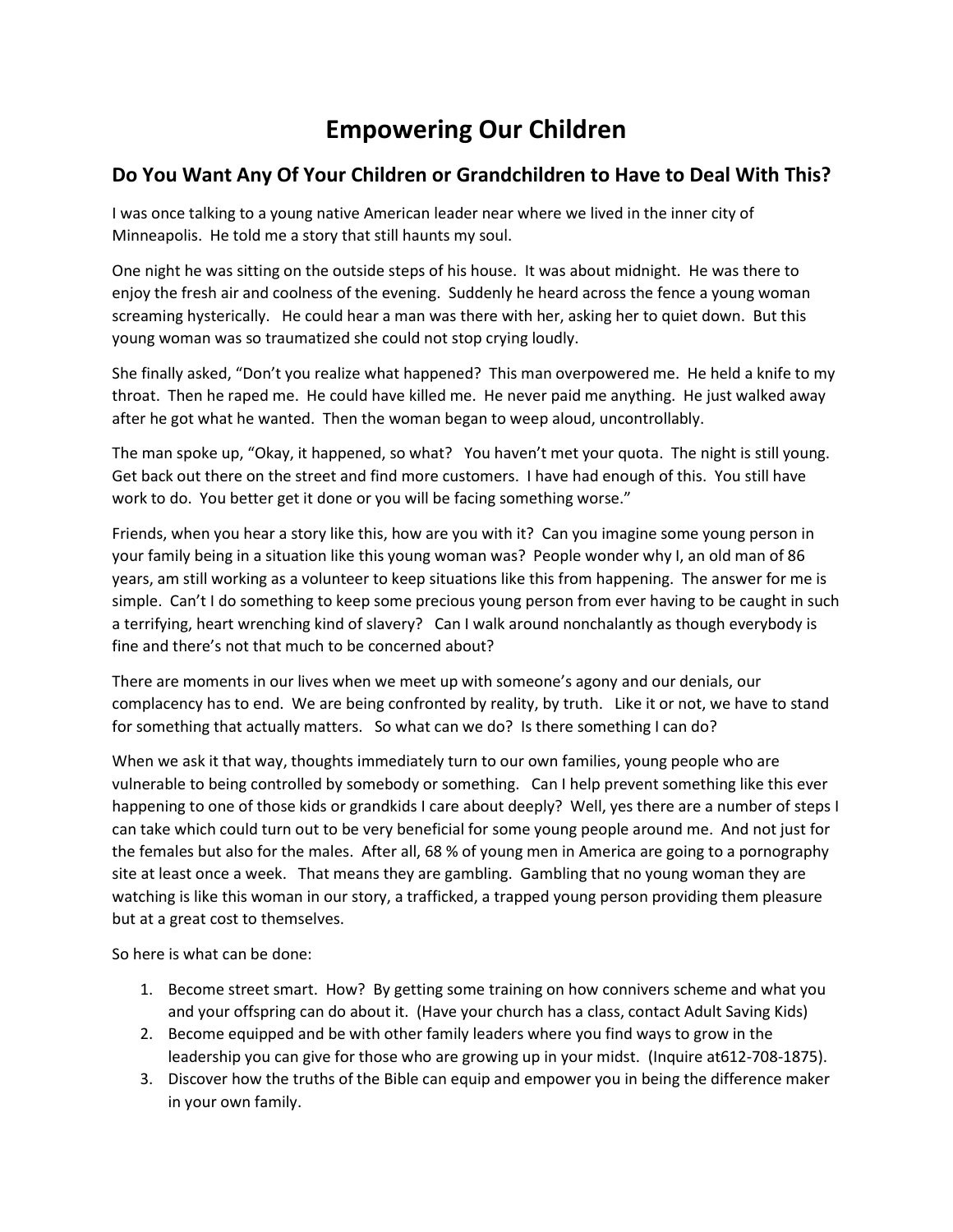## **Empowering Our Children**

## **Do You Want Any Of Your Children or Grandchildren to Have to Deal With This?**

I was once talking to a young native American leader near where we lived in the inner city of Minneapolis. He told me a story that still haunts my soul.

One night he was sitting on the outside steps of his house. It was about midnight. He was there to enjoy the fresh air and coolness of the evening. Suddenly he heard across the fence a young woman screaming hysterically. He could hear a man was there with her, asking her to quiet down. But this young woman was so traumatized she could not stop crying loudly.

She finally asked, "Don't you realize what happened? This man overpowered me. He held a knife to my throat. Then he raped me. He could have killed me. He never paid me anything. He just walked away after he got what he wanted. Then the woman began to weep aloud, uncontrollably.

The man spoke up, "Okay, it happened, so what? You haven't met your quota. The night is still young. Get back out there on the street and find more customers. I have had enough of this. You still have work to do. You better get it done or you will be facing something worse."

Friends, when you hear a story like this, how are you with it? Can you imagine some young person in your family being in a situation like this young woman was? People wonder why I, an old man of 86 years, am still working as a volunteer to keep situations like this from happening. The answer for me is simple. Can't I do something to keep some precious young person from ever having to be caught in such a terrifying, heart wrenching kind of slavery? Can I walk around nonchalantly as though everybody is fine and there's not that much to be concerned about?

There are moments in our lives when we meet up with someone's agony and our denials, our complacency has to end. We are being confronted by reality, by truth. Like it or not, we have to stand for something that actually matters. So what can we do? Is there something I can do?

When we ask it that way, thoughts immediately turn to our own families, young people who are vulnerable to being controlled by somebody or something. Can I help prevent something like this ever happening to one of those kids or grandkids I care about deeply? Well, yes there are a number of steps I can take which could turn out to be very beneficial for some young people around me. And not just for the females but also for the males. After all, 68 % of young men in America are going to a pornography site at least once a week. That means they are gambling. Gambling that no young woman they are watching is like this woman in our story, a trafficked, a trapped young person providing them pleasure but at a great cost to themselves.

So here is what can be done:

- 1. Become street smart. How? By getting some training on how connivers scheme and what you and your offspring can do about it. (Have your church has a class, contact Adult Saving Kids)
- 2. Become equipped and be with other family leaders where you find ways to grow in the leadership you can give for those who are growing up in your midst. (Inquire at612-708-1875).
- 3. Discover how the truths of the Bible can equip and empower you in being the difference maker in your own family.